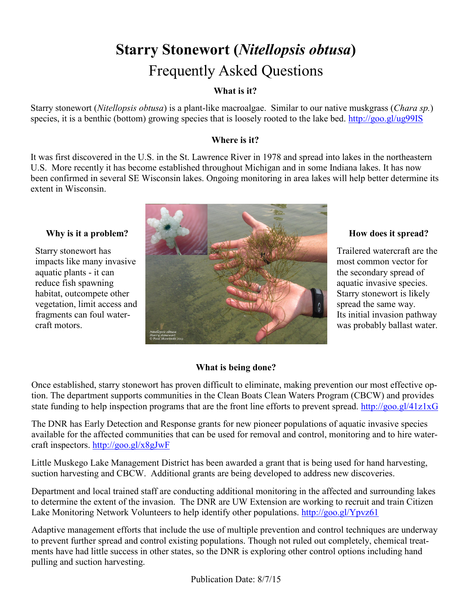# **Starry Stonewort (***Nitellopsis obtusa***)**  Frequently Asked Questions

## **What is it?**

Starry stonewort (*Nitellopsis obtusa*) is a plant-like macroalgae. Similar to our native muskgrass (*Chara sp.*) species, it is a benthic (bottom) growing species that is loosely rooted to the lake bed. <http://goo.gl/ug99IS>

## **Where is it?**

It was first discovered in the U.S. in the St. Lawrence River in 1978 and spread into lakes in the northeastern U.S. More recently it has become established throughout Michigan and in some Indiana lakes. It has now been confirmed in several SE Wisconsin lakes. Ongoing monitoring in area lakes will help better determine its extent in Wisconsin.

### **Why is it a problem?**

Starry stonewort has impacts like many invasive aquatic plants - it can reduce fish spawning habitat, outcompete other vegetation, limit access and fragments can foul watercraft motors.



## **How does it spread?**

Trailered watercraft are the most common vector for the secondary spread of aquatic invasive species. Starry stonewort is likely spread the same way. Its initial invasion pathway was probably ballast water.

### **What is being done?**

Once established, starry stonewort has proven difficult to eliminate, making prevention our most effective option. The department supports communities in the Clean Boats Clean Waters Program (CBCW) and provides state funding to help inspection programs that are the front line efforts to prevent spread.<http://goo.gl/41z1xG>

The DNR has Early Detection and Response grants for new pioneer populations of aquatic invasive species available for the affected communities that can be used for removal and control, monitoring and to hire watercraft inspectors.<http://goo.gl/x8gJwF>

Little Muskego Lake Management District has been awarded a grant that is being used for hand harvesting, suction harvesting and CBCW. Additional grants are being developed to address new discoveries.

Department and local trained staff are conducting additional monitoring in the affected and surrounding lakes to determine the extent of the invasion. The DNR are UW Extension are working to recruit and train Citizen Lake Monitoring Network Volunteers to help identify other populations. <http://goo.gl/Ypvz61>

Adaptive management efforts that include the use of multiple prevention and control techniques are underway to prevent further spread and control existing populations. Though not ruled out completely, chemical treatments have had little success in other states, so the DNR is exploring other control options including hand pulling and suction harvesting.

Publication Date: 8/7/15